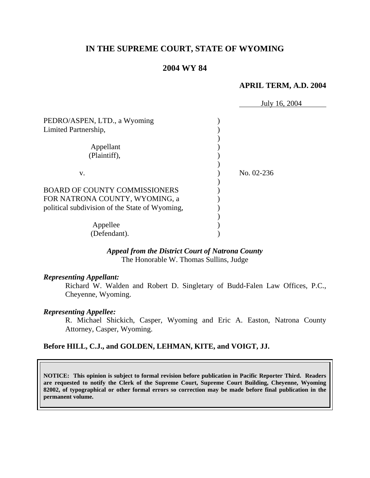# **IN THE SUPREME COURT, STATE OF WYOMING**

### **2004 WY 84**

#### **APRIL TERM, A.D. 2004**

|                                                | July 16, 2004 |
|------------------------------------------------|---------------|
| PEDRO/ASPEN, LTD., a Wyoming                   |               |
| Limited Partnership,                           |               |
|                                                |               |
| Appellant                                      |               |
| (Plaintiff),                                   |               |
|                                                |               |
| V.                                             | No. 02-236    |
|                                                |               |
| <b>BOARD OF COUNTY COMMISSIONERS</b>           |               |
| FOR NATRONA COUNTY, WYOMING, a                 |               |
| political subdivision of the State of Wyoming, |               |
|                                                |               |
| Appellee                                       |               |
| (Defendant).                                   |               |

### *Appeal from the District Court of Natrona County* The Honorable W. Thomas Sullins, Judge

#### *Representing Appellant:*

Richard W. Walden and Robert D. Singletary of Budd-Falen Law Offices, P.C., Cheyenne, Wyoming.

#### *Representing Appellee:*

R. Michael Shickich, Casper, Wyoming and Eric A. Easton, Natrona County Attorney, Casper, Wyoming.

### **Before HILL, C.J., and GOLDEN, LEHMAN, KITE, and VOIGT, JJ.**

**NOTICE: This opinion is subject to formal revision before publication in Pacific Reporter Third. Readers are requested to notify the Clerk of the Supreme Court, Supreme Court Building, Cheyenne, Wyoming 82002, of typographical or other formal errors so correction may be made before final publication in the permanent volume.**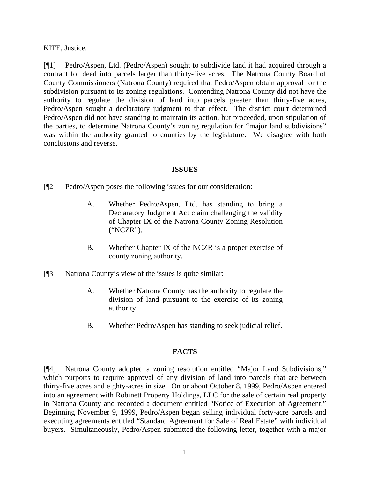KITE, Justice.

[¶1] Pedro/Aspen, Ltd. (Pedro/Aspen) sought to subdivide land it had acquired through a contract for deed into parcels larger than thirty-five acres. The Natrona County Board of County Commissioners (Natrona County) required that Pedro/Aspen obtain approval for the subdivision pursuant to its zoning regulations. Contending Natrona County did not have the authority to regulate the division of land into parcels greater than thirty-five acres, Pedro/Aspen sought a declaratory judgment to that effect. The district court determined Pedro/Aspen did not have standing to maintain its action, but proceeded, upon stipulation of the parties, to determine Natrona County's zoning regulation for "major land subdivisions" was within the authority granted to counties by the legislature. We disagree with both conclusions and reverse.

### **ISSUES**

[¶2] Pedro/Aspen poses the following issues for our consideration:

- A. Whether Pedro/Aspen, Ltd. has standing to bring a Declaratory Judgment Act claim challenging the validity of Chapter IX of the Natrona County Zoning Resolution ("NCZR").
- B. Whether Chapter IX of the NCZR is a proper exercise of county zoning authority.
- [¶3] Natrona County's view of the issues is quite similar:
	- A. Whether Natrona County has the authority to regulate the division of land pursuant to the exercise of its zoning authority.
	- B. Whether Pedro/Aspen has standing to seek judicial relief.

## **FACTS**

[¶4] Natrona County adopted a zoning resolution entitled "Major Land Subdivisions," which purports to require approval of any division of land into parcels that are between thirty-five acres and eighty-acres in size. On or about October 8, 1999, Pedro/Aspen entered into an agreement with Robinett Property Holdings, LLC for the sale of certain real property in Natrona County and recorded a document entitled "Notice of Execution of Agreement." Beginning November 9, 1999, Pedro/Aspen began selling individual forty-acre parcels and executing agreements entitled "Standard Agreement for Sale of Real Estate" with individual buyers. Simultaneously, Pedro/Aspen submitted the following letter, together with a major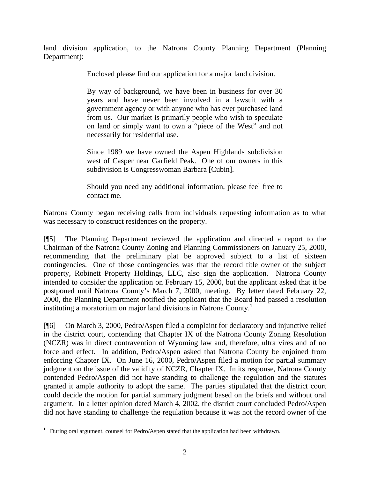land division application, to the Natrona County Planning Department (Planning Department):

Enclosed please find our application for a major land division.

By way of background, we have been in business for over 30 years and have never been involved in a lawsuit with a government agency or with anyone who has ever purchased land from us. Our market is primarily people who wish to speculate on land or simply want to own a "piece of the West" and not necessarily for residential use.

Since 1989 we have owned the Aspen Highlands subdivision west of Casper near Garfield Peak. One of our owners in this subdivision is Congresswoman Barbara [Cubin].

Should you need any additional information, please feel free to contact me.

Natrona County began receiving calls from individuals requesting information as to what was necessary to construct residences on the property.

[¶5] The Planning Department reviewed the application and directed a report to the Chairman of the Natrona County Zoning and Planning Commissioners on January 25, 2000, recommending that the preliminary plat be approved subject to a list of sixteen contingencies. One of those contingencies was that the record title owner of the subject property, Robinett Property Holdings, LLC, also sign the application. Natrona County intended to consider the application on February 15, 2000, but the applicant asked that it be postponed until Natrona County's March 7, 2000, meeting. By letter dated February 22, 2000, the Planning Department notified the applicant that the Board had passed a resolution instituting a moratorium on major land divisions in Natrona County.<sup>1</sup>

[¶6] On March 3, 2000, Pedro/Aspen filed a complaint for declaratory and injunctive relief in the district court, contending that Chapter IX of the Natrona County Zoning Resolution (NCZR) was in direct contravention of Wyoming law and, therefore, ultra vires and of no force and effect. In addition, Pedro/Aspen asked that Natrona County be enjoined from enforcing Chapter IX. On June 16, 2000, Pedro/Aspen filed a motion for partial summary judgment on the issue of the validity of NCZR, Chapter IX. In its response, Natrona County contended Pedro/Aspen did not have standing to challenge the regulation and the statutes granted it ample authority to adopt the same. The parties stipulated that the district court could decide the motion for partial summary judgment based on the briefs and without oral argument. In a letter opinion dated March 4, 2002, the district court concluded Pedro/Aspen did not have standing to challenge the regulation because it was not the record owner of the

 $\overline{a}$ <sup>1</sup> During oral argument, counsel for Pedro/Aspen stated that the application had been withdrawn.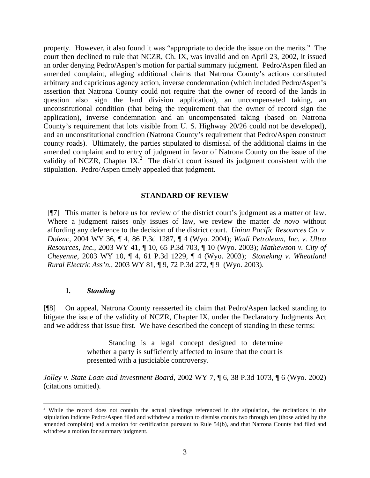property. However, it also found it was "appropriate to decide the issue on the merits." The court then declined to rule that NCZR, Ch. IX, was invalid and on April 23, 2002, it issued an order denying Pedro/Aspen's motion for partial summary judgment. Pedro/Aspen filed an amended complaint, alleging additional claims that Natrona County's actions constituted arbitrary and capricious agency action, inverse condemnation (which included Pedro/Aspen's assertion that Natrona County could not require that the owner of record of the lands in question also sign the land division application), an uncompensated taking, an unconstitutional condition (that being the requirement that the owner of record sign the application), inverse condemnation and an uncompensated taking (based on Natrona County's requirement that lots visible from U. S. Highway 20/26 could not be developed), and an unconstitutional condition (Natrona County's requirement that Pedro/Aspen construct county roads). Ultimately, the parties stipulated to dismissal of the additional claims in the amended complaint and to entry of judgment in favor of Natrona County on the issue of the validity of NCZR, Chapter IX.<sup>2</sup> The district court issued its judgment consistent with the stipulation. Pedro/Aspen timely appealed that judgment.

## **STANDARD OF REVIEW**

[¶7] This matter is before us for review of the district court's judgment as a matter of law. Where a judgment raises only issues of law, we review the matter *de novo* without affording any deference to the decision of the district court. *Union Pacific Resources Co. v. Dolenc,* 2004 WY 36, ¶ 4, 86 P.3d 1287, ¶ 4 (Wyo. 2004); *Wadi Petroleum, Inc. v. Ultra Resources, Inc.,* 2003 WY 41, ¶ 10, 65 P.3d 703, ¶ 10 (Wyo. 2003); *Mathewson v. City of Cheyenne,* 2003 WY 10, ¶ 4, 61 P.3d 1229, ¶ 4 (Wyo. 2003); *Stoneking v. Wheatland Rural Electric Ass'n.,* 2003 WY 81, ¶ 9, 72 P.3d 272, ¶ 9 (Wyo. 2003).

#### **1***. Standing*

 $\overline{a}$ 

[¶8] On appeal, Natrona County reasserted its claim that Pedro/Aspen lacked standing to litigate the issue of the validity of NCZR, Chapter IX, under the Declaratory Judgments Act and we address that issue first. We have described the concept of standing in these terms:

> Standing is a legal concept designed to determine whether a party is sufficiently affected to insure that the court is presented with a justiciable controversy.

*Jolley v. State Loan and Investment Board*, 2002 WY 7, ¶ 6, 38 P.3d 1073, ¶ 6 (Wyo. 2002) (citations omitted).

<sup>&</sup>lt;sup>2</sup> While the record does not contain the actual pleadings referenced in the stipulation, the recitations in the stipulation indicate Pedro/Aspen filed and withdrew a motion to dismiss counts two through ten (those added by the amended complaint) and a motion for certification pursuant to Rule 54(b), and that Natrona County had filed and withdrew a motion for summary judgment.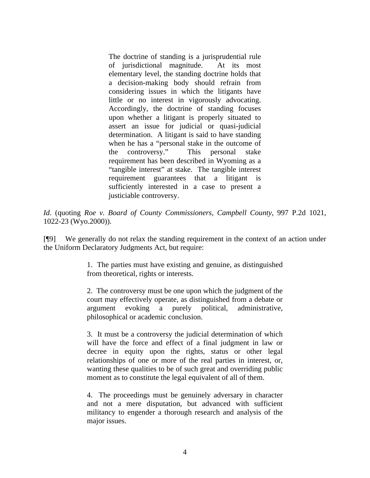The doctrine of standing is a jurisprudential rule of jurisdictional magnitude. At its most elementary level, the standing doctrine holds that a decision-making body should refrain from considering issues in which the litigants have little or no interest in vigorously advocating. Accordingly, the doctrine of standing focuses upon whether a litigant is properly situated to assert an issue for judicial or quasi-judicial determination. A litigant is said to have standing when he has a "personal stake in the outcome of the controversy." This personal stake requirement has been described in Wyoming as a "tangible interest" at stake. The tangible interest requirement guarantees that a litigant is sufficiently interested in a case to present a justiciable controversy.

*Id*. (quoting *Roe v. Board of County Commissioners, Campbell County*, 997 P.2d 1021, 1022-23 (Wyo.2000)).

[¶9] We generally do not relax the standing requirement in the context of an action under the Uniform Declaratory Judgments Act, but require:

> 1. The parties must have existing and genuine, as distinguished from theoretical, rights or interests.

> 2. The controversy must be one upon which the judgment of the court may effectively operate, as distinguished from a debate or argument evoking a purely political, administrative, philosophical or academic conclusion.

> 3. It must be a controversy the judicial determination of which will have the force and effect of a final judgment in law or decree in equity upon the rights, status or other legal relationships of one or more of the real parties in interest, or, wanting these qualities to be of such great and overriding public moment as to constitute the legal equivalent of all of them.

> 4. The proceedings must be genuinely adversary in character and not a mere disputation, but advanced with sufficient militancy to engender a thorough research and analysis of the major issues.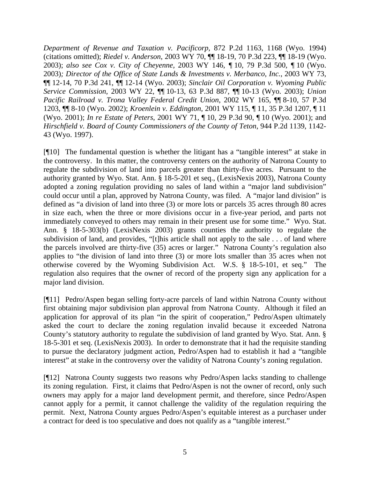*Department of Revenue and Taxation v. Pacificorp*, 872 P.2d 1163, 1168 (Wyo. 1994) (citations omitted); *Riedel v. Anderson*, 2003 WY 70, ¶¶ 18-19, 70 P.3d 223, ¶¶ 18-19 (Wyo. 2003); *also see Cox v. City of Cheyenne,* 2003 WY 146*, ¶* 10*,* 79 P.3d 500*, ¶* 10 (Wyo. 2003)*; Director of the Office of State Lands & Investments v. Merbanco, Inc.*, 2003 WY 73, ¶¶ 12-14, 70 P.3d 241, ¶¶ 12-14 (Wyo. 2003); *Sinclair Oil Corporation v. Wyoming Public Service Commission*, 2003 WY 22, ¶¶ 10-13, 63 P.3d 887, ¶¶ 10-13 (Wyo. 2003); *Union Pacific Railroad v. Trona Valley Federal Credit Union*, 2002 WY 165, ¶¶ 8-10, 57 P.3d 1203, ¶¶ 8-10 (Wyo. 2002); *Kroenlein v. Eddington*, 2001 WY 115, ¶ 11, 35 P.3d 1207, ¶ 11 (Wyo. 2001); *In re Estate of Peters*, 2001 WY 71, ¶ 10, 29 P.3d 90, ¶ 10 (Wyo. 2001); and *Hirschfield v. Board of County Commissioners of the County of Teton*, 944 P.2d 1139, 1142- 43 (Wyo. 1997).

[¶10] The fundamental question is whether the litigant has a "tangible interest" at stake in the controversy. In this matter, the controversy centers on the authority of Natrona County to regulate the subdivision of land into parcels greater than thirty-five acres. Pursuant to the authority granted by Wyo. Stat. Ann. § 18-5-201 et seq., (LexisNexis 2003), Natrona County adopted a zoning regulation providing no sales of land within a "major land subdivision" could occur until a plan, approved by Natrona County, was filed. A "major land division" is defined as "a division of land into three (3) or more lots or parcels 35 acres through 80 acres in size each, when the three or more divisions occur in a five-year period, and parts not immediately conveyed to others may remain in their present use for some time." Wyo. Stat. Ann. § 18-5-303(b) (LexisNexis 2003) grants counties the authority to regulate the subdivision of land, and provides, "[t]his article shall not apply to the sale . . . of land where the parcels involved are thirty-five (35) acres or larger." Natrona County's regulation also applies to "the division of land into three (3) or more lots smaller than 35 acres when not otherwise covered by the Wyoming Subdivision Act. W.S. § 18-5-101, et seq." The regulation also requires that the owner of record of the property sign any application for a major land division.

[¶11] Pedro/Aspen began selling forty-acre parcels of land within Natrona County without first obtaining major subdivision plan approval from Natrona County. Although it filed an application for approval of its plan "in the spirit of cooperation," Pedro/Aspen ultimately asked the court to declare the zoning regulation invalid because it exceeded Natrona County's statutory authority to regulate the subdivision of land granted by Wyo. Stat. Ann. § 18-5-301 et seq. (LexisNexis 2003). In order to demonstrate that it had the requisite standing to pursue the declaratory judgment action, Pedro/Aspen had to establish it had a "tangible interest" at stake in the controversy over the validity of Natrona County's zoning regulation.

[¶12] Natrona County suggests two reasons why Pedro/Aspen lacks standing to challenge its zoning regulation. First, it claims that Pedro/Aspen is not the owner of record, only such owners may apply for a major land development permit, and therefore, since Pedro/Aspen cannot apply for a permit, it cannot challenge the validity of the regulation requiring the permit. Next, Natrona County argues Pedro/Aspen's equitable interest as a purchaser under a contract for deed is too speculative and does not qualify as a "tangible interest."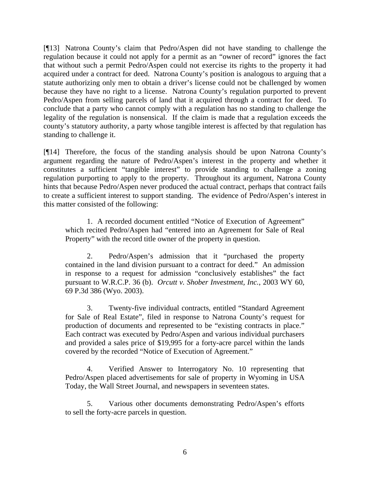[¶13] Natrona County's claim that Pedro/Aspen did not have standing to challenge the regulation because it could not apply for a permit as an "owner of record" ignores the fact that without such a permit Pedro/Aspen could not exercise its rights to the property it had acquired under a contract for deed. Natrona County's position is analogous to arguing that a statute authorizing only men to obtain a driver's license could not be challenged by women because they have no right to a license. Natrona County's regulation purported to prevent Pedro/Aspen from selling parcels of land that it acquired through a contract for deed. To conclude that a party who cannot comply with a regulation has no standing to challenge the legality of the regulation is nonsensical. If the claim is made that a regulation exceeds the county's statutory authority, a party whose tangible interest is affected by that regulation has standing to challenge it.

[¶14] Therefore, the focus of the standing analysis should be upon Natrona County's argument regarding the nature of Pedro/Aspen's interest in the property and whether it constitutes a sufficient "tangible interest" to provide standing to challenge a zoning regulation purporting to apply to the property. Throughout its argument, Natrona County hints that because Pedro/Aspen never produced the actual contract, perhaps that contract fails to create a sufficient interest to support standing. The evidence of Pedro/Aspen's interest in this matter consisted of the following:

1. A recorded document entitled "Notice of Execution of Agreement" which recited Pedro/Aspen had "entered into an Agreement for Sale of Real Property" with the record title owner of the property in question.

2. Pedro/Aspen's admission that it "purchased the property contained in the land division pursuant to a contract for deed." An admission in response to a request for admission "conclusively establishes" the fact pursuant to W.R.C.P. 36 (b). *Orcutt v. Shober Investment, Inc.*, 2003 WY 60, 69 P.3d 386 (Wyo. 2003).

3. Twenty-five individual contracts, entitled "Standard Agreement for Sale of Real Estate", filed in response to Natrona County's request for production of documents and represented to be "existing contracts in place." Each contract was executed by Pedro/Aspen and various individual purchasers and provided a sales price of \$19,995 for a forty-acre parcel within the lands covered by the recorded "Notice of Execution of Agreement."

4. Verified Answer to Interrogatory No. 10 representing that Pedro/Aspen placed advertisements for sale of property in Wyoming in USA Today, the Wall Street Journal, and newspapers in seventeen states.

5. Various other documents demonstrating Pedro/Aspen's efforts to sell the forty-acre parcels in question.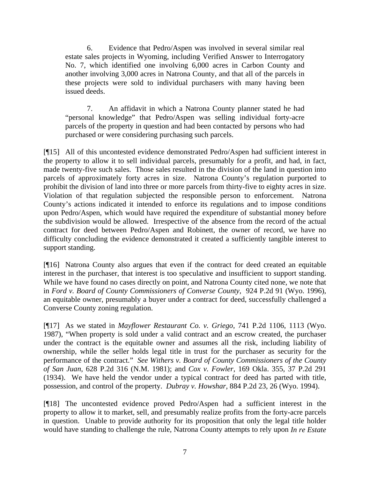6. Evidence that Pedro/Aspen was involved in several similar real estate sales projects in Wyoming, including Verified Answer to Interrogatory No. 7, which identified one involving 6,000 acres in Carbon County and another involving 3,000 acres in Natrona County, and that all of the parcels in these projects were sold to individual purchasers with many having been issued deeds.

7. An affidavit in which a Natrona County planner stated he had "personal knowledge" that Pedro/Aspen was selling individual forty-acre parcels of the property in question and had been contacted by persons who had purchased or were considering purchasing such parcels.

[¶15] All of this uncontested evidence demonstrated Pedro/Aspen had sufficient interest in the property to allow it to sell individual parcels, presumably for a profit, and had, in fact, made twenty-five such sales. Those sales resulted in the division of the land in question into parcels of approximately forty acres in size. Natrona County's regulation purported to prohibit the division of land into three or more parcels from thirty-five to eighty acres in size. Violation of that regulation subjected the responsible person to enforcement. Natrona County's actions indicated it intended to enforce its regulations and to impose conditions upon Pedro/Aspen, which would have required the expenditure of substantial money before the subdivision would be allowed. Irrespective of the absence from the record of the actual contract for deed between Pedro/Aspen and Robinett, the owner of record, we have no difficulty concluding the evidence demonstrated it created a sufficiently tangible interest to support standing.

[¶16] Natrona County also argues that even if the contract for deed created an equitable interest in the purchaser, that interest is too speculative and insufficient to support standing. While we have found no cases directly on point, and Natrona County cited none, we note that in *Ford v. Board of County Commissioners of Converse County,* 924 P.2d 91 (Wyo. 1996), an equitable owner, presumably a buyer under a contract for deed, successfully challenged a Converse County zoning regulation.

[¶17] As we stated in *Mayflower Restaurant Co. v. Griego,* 741 P.2d 1106, 1113 (Wyo. 1987), "When property is sold under a valid contract and an escrow created, the purchaser under the contract is the equitable owner and assumes all the risk, including liability of ownership, while the seller holds legal title in trust for the purchaser as security for the performance of the contract." *See Withers v. Board of County Commissioners of the County of San Juan*, 628 P.2d 316 (N.M. 1981); and *Cox v. Fowler*, 169 Okla. 355, 37 P.2d 291 (1934). We have held the vendor under a typical contract for deed has parted with title, possession, and control of the property. *Dubray v. Howshar,* 884 P.2d 23, 26 (Wyo. 1994).

[¶18] The uncontested evidence proved Pedro/Aspen had a sufficient interest in the property to allow it to market, sell, and presumably realize profits from the forty-acre parcels in question. Unable to provide authority for its proposition that only the legal title holder would have standing to challenge the rule, Natrona County attempts to rely upon *In re Estate*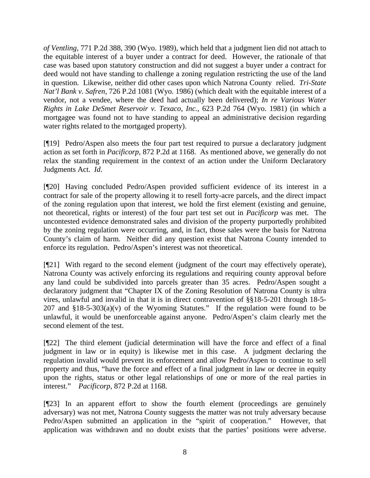*of Ventling,* 771 P.2d 388, 390 (Wyo. 1989), which held that a judgment lien did not attach to the equitable interest of a buyer under a contract for deed. However, the rationale of that case was based upon statutory construction and did not suggest a buyer under a contract for deed would not have standing to challenge a zoning regulation restricting the use of the land in question. Likewise, neither did other cases upon which Natrona County relied. *Tri-State Nat'l Bank v. Safren,* 726 P.2d 1081 (Wyo. 1986) (which dealt with the equitable interest of a vendor, not a vendee, where the deed had actually been delivered); *In re Various Water Rights in Lake DeSmet Reservoir v. Texaco, Inc.,* 623 P.2d 764 (Wyo. 1981) (in which a mortgagee was found not to have standing to appeal an administrative decision regarding water rights related to the mortgaged property).

[¶19] Pedro/Aspen also meets the four part test required to pursue a declaratory judgment action as set forth in *Pacificorp*, 872 P.2d at 1168. As mentioned above, we generally do not relax the standing requirement in the context of an action under the Uniform Declaratory Judgments Act. *Id*.

[¶20] Having concluded Pedro/Aspen provided sufficient evidence of its interest in a contract for sale of the property allowing it to resell forty-acre parcels, and the direct impact of the zoning regulation upon that interest, we hold the first element (existing and genuine, not theoretical, rights or interest) of the four part test set out in *Pacificorp* was met. The uncontested evidence demonstrated sales and division of the property purportedly prohibited by the zoning regulation were occurring, and, in fact, those sales were the basis for Natrona County's claim of harm. Neither did any question exist that Natrona County intended to enforce its regulation. Pedro/Aspen's interest was not theoretical.

[¶21] With regard to the second element (judgment of the court may effectively operate), Natrona County was actively enforcing its regulations and requiring county approval before any land could be subdivided into parcels greater than 35 acres. Pedro/Aspen sought a declaratory judgment that "Chapter IX of the Zoning Resolution of Natrona County is ultra vires, unlawful and invalid in that it is in direct contravention of §§18-5-201 through 18-5- 207 and  $$18-5-303(a)(v)$  of the Wyoming Statutes." If the regulation were found to be unlawful, it would be unenforceable against anyone. Pedro/Aspen's claim clearly met the second element of the test.

[¶22] The third element (judicial determination will have the force and effect of a final judgment in law or in equity) is likewise met in this case. A judgment declaring the regulation invalid would prevent its enforcement and allow Pedro/Aspen to continue to sell property and thus, "have the force and effect of a final judgment in law or decree in equity upon the rights, status or other legal relationships of one or more of the real parties in interest." *Pacificorp*, 872 P.2d at 1168.

[¶23] In an apparent effort to show the fourth element (proceedings are genuinely adversary) was not met, Natrona County suggests the matter was not truly adversary because Pedro/Aspen submitted an application in the "spirit of cooperation." However, that application was withdrawn and no doubt exists that the parties' positions were adverse.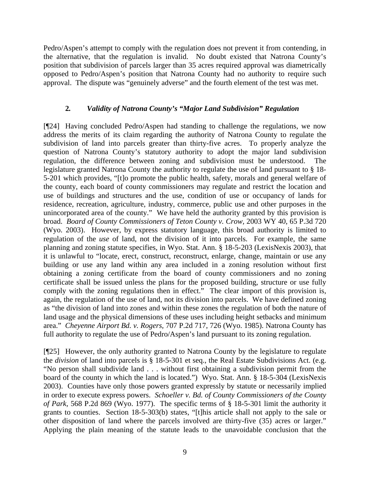Pedro/Aspen's attempt to comply with the regulation does not prevent it from contending, in the alternative, that the regulation is invalid. No doubt existed that Natrona County's position that subdivision of parcels larger than 35 acres required approval was diametrically opposed to Pedro/Aspen's position that Natrona County had no authority to require such approval. The dispute was "genuinely adverse" and the fourth element of the test was met.

## **2***. Validity of Natrona County's "Major Land Subdivision" Regulation*

[¶24] Having concluded Pedro/Aspen had standing to challenge the regulations, we now address the merits of its claim regarding the authority of Natrona County to regulate the subdivision of land into parcels greater than thirty-five acres. To properly analyze the question of Natrona County's statutory authority to adopt the major land subdivision regulation, the difference between zoning and subdivision must be understood. legislature granted Natrona County the authority to regulate the use of land pursuant to § 18- 5-201 which provides, "[t]o promote the public health, safety, morals and general welfare of the county, each board of county commissioners may regulate and restrict the location and use of buildings and structures and the use, condition of use or occupancy of lands for residence, recreation, agriculture, industry, commerce, public use and other purposes in the unincorporated area of the county." We have held the authority granted by this provision is broad. *Board of County Commissioners of Teton County v. Crow,* 2003 WY 40, 65 P.3d 720 (Wyo. 2003). However, by express statutory language, this broad authority is limited to regulation of the *use* of land, not the division of it into parcels. For example, the same planning and zoning statute specifies, in Wyo. Stat. Ann. § 18-5-203 (LexisNexis 2003), that it is unlawful to "locate, erect, construct, reconstruct, enlarge, change, maintain or use any building or use any land within any area included in a zoning resolution without first obtaining a zoning certificate from the board of county commissioners and no zoning certificate shall be issued unless the plans for the proposed building, structure or use fully comply with the zoning regulations then in effect." The clear import of this provision is, again, the regulation of the use of land, not its division into parcels. We have defined zoning as "the division of land into zones and within these zones the regulation of both the nature of land usage and the physical dimensions of these uses including height setbacks and minimum area." *Cheyenne Airport Bd. v. Rogers,* 707 P.2d 717, 726 (Wyo. 1985). Natrona County has full authority to regulate the use of Pedro/Aspen's land pursuant to its zoning regulation.

[¶25] However, the only authority granted to Natrona County by the legislature to regulate the *division* of land into parcels is § 18-5-301 et seq., the Real Estate Subdivisions Act. (e.g. "No person shall subdivide land . . . without first obtaining a subdivision permit from the board of the county in which the land is located.") Wyo. Stat. Ann. § 18-5-304 (LexisNexis 2003). Counties have only those powers granted expressly by statute or necessarily implied in order to execute express powers. *Schoeller v. Bd. of County Commissioners of the County of Park,* 568 P.2d 869 (Wyo. 1977). The specific terms of § 18-5-301 limit the authority it grants to counties. Section 18-5-303(b) states, "[t]his article shall not apply to the sale or other disposition of land where the parcels involved are thirty-five (35) acres or larger." Applying the plain meaning of the statute leads to the unavoidable conclusion that the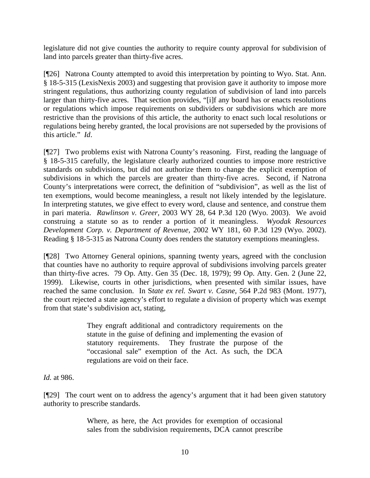legislature did not give counties the authority to require county approval for subdivision of land into parcels greater than thirty-five acres.

[¶26] Natrona County attempted to avoid this interpretation by pointing to Wyo. Stat. Ann. § 18-5-315 (LexisNexis 2003) and suggesting that provision gave it authority to impose more stringent regulations, thus authorizing county regulation of subdivision of land into parcels larger than thirty-five acres. That section provides, "[i]f any board has or enacts resolutions or regulations which impose requirements on subdividers or subdivisions which are more restrictive than the provisions of this article, the authority to enact such local resolutions or regulations being hereby granted, the local provisions are not superseded by the provisions of this article." *Id*.

[¶27] Two problems exist with Natrona County's reasoning. First, reading the language of § 18-5-315 carefully, the legislature clearly authorized counties to impose more restrictive standards on subdivisions, but did not authorize them to change the explicit exemption of subdivisions in which the parcels are greater than thirty-five acres. Second, if Natrona County's interpretations were correct, the definition of "subdivision", as well as the list of ten exemptions, would become meaningless, a result not likely intended by the legislature. In interpreting statutes, we give effect to every word, clause and sentence, and construe them in pari materia. *Rawlinson v. Greer,* 2003 WY 28, 64 P.3d 120 (Wyo. 2003). We avoid construing a statute so as to render a portion of it meaningless. *Wyodak Resources Development Corp. v. Department of Revenue,* 2002 WY 181, 60 P.3d 129 (Wyo. 2002). Reading § 18-5-315 as Natrona County does renders the statutory exemptions meaningless.

[¶28] Two Attorney General opinions, spanning twenty years, agreed with the conclusion that counties have no authority to require approval of subdivisions involving parcels greater than thirty-five acres. 79 Op. Atty. Gen 35 (Dec. 18, 1979); 99 Op. Atty. Gen. 2 (June 22, 1999). Likewise, courts in other jurisdictions, when presented with similar issues, have reached the same conclusion. In S*tate ex rel. Swart v. Casne,* 564 P.2d 983 (Mont. 1977), the court rejected a state agency's effort to regulate a division of property which was exempt from that state's subdivision act, stating,

> They engraft additional and contradictory requirements on the statute in the guise of defining and implementing the evasion of statutory requirements. They frustrate the purpose of the "occasional sale" exemption of the Act. As such, the DCA regulations are void on their face.

*Id.* at 986.

[¶29] The court went on to address the agency's argument that it had been given statutory authority to prescribe standards.

> Where, as here, the Act provides for exemption of occasional sales from the subdivision requirements, DCA cannot prescribe